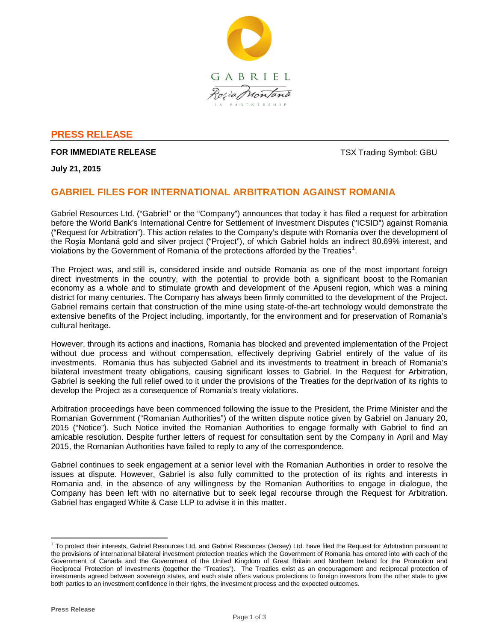

# **PRESS RELEASE**

## **FOR IMMEDIATE RELEASE TO A 2009 TO A 2009 TO A 2009 TO A 2009 TO A 2009 TO A 2009 TO A 2009 TO A 2009 TO A 2009 TO A 2009 TO A 2009 TO A 2009 TO A 2009 TO A 2009 TO A 2009 TO A 2009 TO A 2009 TO A 2009 TO A 2009 TO A 20**

**July 21, 2015**

# **GABRIEL FILES FOR INTERNATIONAL ARBITRATION AGAINST ROMANIA**

Gabriel Resources Ltd. ("Gabriel" or the "Company") announces that today it has filed a request for arbitration before the World Bank's International Centre for Settlement of Investment Disputes ("ICSID") against Romania ("Request for Arbitration"). This action relates to the Company's dispute with Romania over the development of the Roşia Montană gold and silver project ("Project"), of which Gabriel holds an indirect 80.69% interest, and violations by the Government of Romania of the protections afforded by the Treaties<sup>[1](#page-0-0)</sup>.

The Project was, and still is, considered inside and outside Romania as one of the most important foreign direct investments in the country, with the potential to provide both a significant boost to the Romanian economy as a whole and to stimulate growth and development of the Apuseni region, which was a mining district for many centuries. The Company has always been firmly committed to the development of the Project. Gabriel remains certain that construction of the mine using state-of-the-art technology would demonstrate the extensive benefits of the Project including, importantly, for the environment and for preservation of Romania's cultural heritage.

However, through its actions and inactions, Romania has blocked and prevented implementation of the Project without due process and without compensation, effectively depriving Gabriel entirely of the value of its investments. Romania thus has subjected Gabriel and its investments to treatment in breach of Romania's bilateral investment treaty obligations, causing significant losses to Gabriel. In the Request for Arbitration, Gabriel is seeking the full relief owed to it under the provisions of the Treaties for the deprivation of its rights to develop the Project as a consequence of Romania's treaty violations.

Arbitration proceedings have been commenced following the issue to the President, the Prime Minister and the Romanian Government ("Romanian Authorities") of the written dispute notice given by Gabriel on January 20, 2015 ("Notice"). Such Notice invited the Romanian Authorities to engage formally with Gabriel to find an amicable resolution. Despite further letters of request for consultation sent by the Company in April and May 2015, the Romanian Authorities have failed to reply to any of the correspondence.

Gabriel continues to seek engagement at a senior level with the Romanian Authorities in order to resolve the issues at dispute. However, Gabriel is also fully committed to the protection of its rights and interests in Romania and, in the absence of any willingness by the Romanian Authorities to engage in dialogue, the Company has been left with no alternative but to seek legal recourse through the Request for Arbitration. Gabriel has engaged White & Case LLP to advise it in this matter.

<span id="page-0-0"></span> $1$  To protect their interests, Gabriel Resources Ltd. and Gabriel Resources (Jersey) Ltd. have filed the Request for Arbitration pursuant to the provisions of international bilateral investment protection treaties which the Government of Romania has entered into with each of the Government of Canada and the Government of the United Kingdom of Great Britain and Northern Ireland for the Promotion and Reciprocal Protection of Investments (together the "Treaties"). The Treaties exist as an encouragement and reciprocal protection of investments agreed between sovereign states, and each state offers various protections to foreign investors from the other state to give both parties to an investment confidence in their rights, the investment process and the expected outcomes.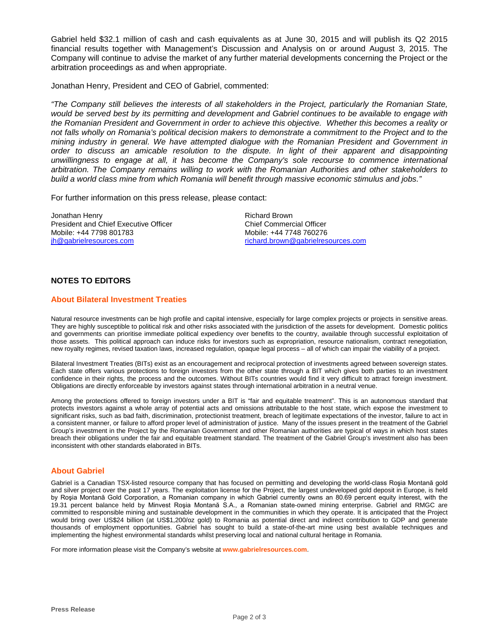Gabriel held \$32.1 million of cash and cash equivalents as at June 30, 2015 and will publish its Q2 2015 financial results together with Management's Discussion and Analysis on or around August 3, 2015. The Company will continue to advise the market of any further material developments concerning the Project or the arbitration proceedings as and when appropriate.

Jonathan Henry, President and CEO of Gabriel, commented:

*"The Company still believes the interests of all stakeholders in the Project, particularly the Romanian State, would be served best by its permitting and development and Gabriel continues to be available to engage with the Romanian President and Government in order to achieve this objective. Whether this becomes a reality or not falls wholly on Romania's political decision makers to demonstrate a commitment to the Project and to the mining industry in general. We have attempted dialogue with the Romanian President and Government in order to discuss an amicable resolution to the dispute. In light of their apparent and disappointing unwillingness to engage at all, it has become the Company's sole recourse to commence international arbitration. The Company remains willing to work with the Romanian Authorities and other stakeholders to build a world class mine from which Romania will benefit through massive economic stimulus and jobs."*

For further information on this press release, please contact:

Jonathan Henry President and Chief Executive Officer Mobile: +44 7798 801783 [jh@gabrielresources.com](mailto:jh@gabrielresources.com)

Richard Brown Chief Commercial Officer Mobile: +44 7748 760276 richard.brown@gabrielresources.com

## **NOTES TO EDITORS**

#### **About Bilateral Investment Treaties**

Natural resource investments can be high profile and capital intensive, especially for large complex projects or projects in sensitive areas. They are highly susceptible to political risk and other risks associated with the jurisdiction of the assets for development. Domestic politics and governments can prioritise immediate political expediency over benefits to the country, available through successful exploitation of those assets. This political approach can induce risks for investors such as expropriation, resource nationalism, contract renegotiation, new royalty regimes, revised taxation laws, increased regulation, opaque legal process – all of which can impair the viability of a project.

Bilateral Investment Treaties (BITs) exist as an encouragement and reciprocal protection of investments agreed between sovereign states. Each state offers various protections to foreign investors from the other state through a BIT which gives both parties to an investment confidence in their rights, the process and the outcomes. Without BITs countries would find it very difficult to attract foreign investment. Obligations are directly enforceable by investors against states through international arbitration in a neutral venue.

Among the protections offered to foreign investors under a BIT is "fair and equitable treatment". This is an autonomous standard that protects investors against a whole array of potential acts and omissions attributable to the host state, which expose the investment to significant risks, such as bad faith, discrimination, protectionist treatment, breach of legitimate expectations of the investor, failure to act in a consistent manner, or failure to afford proper level of administration of justice. Many of the issues present in the treatment of the Gabriel Group's investment in the Project by the Romanian Government and other Romanian authorities are typical of ways in which host states breach their obligations under the fair and equitable treatment standard. The treatment of the Gabriel Group's investment also has been inconsistent with other standards elaborated in BITs.

#### **About Gabriel**

Gabriel is a Canadian TSX-listed resource company that has focused on permitting and developing the world-class Roşia Montană gold and silver project over the past 17 years. The exploitation license for the Project, the largest undeveloped gold deposit in Europe, is held by Roşia Montană Gold Corporation, a Romanian company in which Gabriel currently owns an 80.69 percent equity interest, with the 19.31 percent balance held by Minvest Roşia Montană S.A., a Romanian state-owned mining enterprise. Gabriel and RMGC are committed to responsible mining and sustainable development in the communities in which they operate. It is anticipated that the Project would bring over US\$24 billion (at US\$1,200/oz gold) to Romania as potential direct and indirect contribution to GDP and generate thousands of employment opportunities. Gabriel has sought to build a state-of-the-art mine using best available techniques and implementing the highest environmental standards whilst preserving local and national cultural heritage in Romania.

For more information please visit the Company's website at **www.gabrielresources.com**.